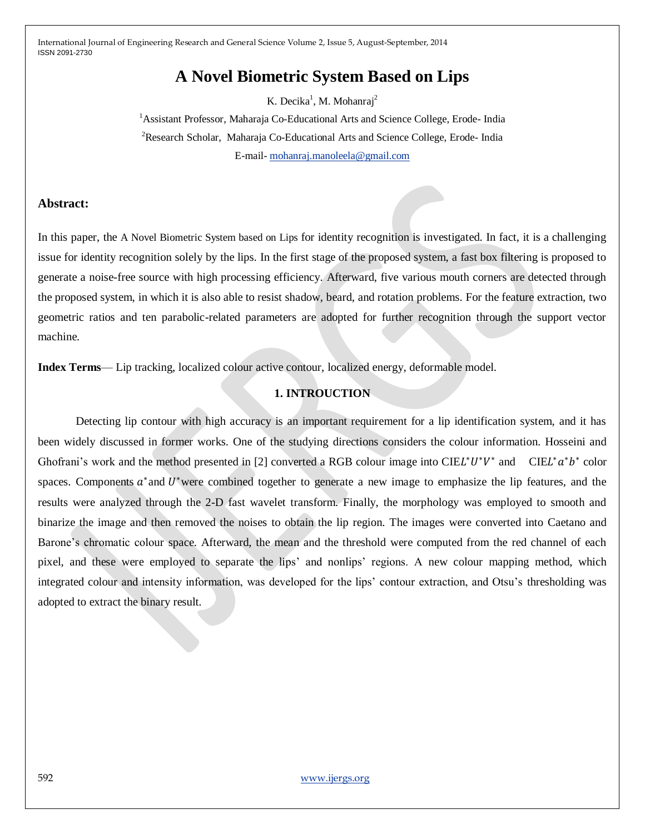# **A Novel Biometric System Based on Lips**

K. Decika<sup>1</sup>, M. Mohanraj<sup>2</sup>

<sup>1</sup> Assistant Professor, Maharaja Co-Educational Arts and Science College, Erode- India <sup>2</sup>Research Scholar, Maharaja Co-Educational Arts and Science College, Erode- India E-mail- [mohanraj.manoleela@gmail.com](mailto:mohanraj.manoleela@gmail.com)

### **Abstract:**

In this paper, the A Novel Biometric System based on Lips for identity recognition is investigated. In fact, it is a challenging issue for identity recognition solely by the lips. In the first stage of the proposed system, a fast box filtering is proposed to generate a noise-free source with high processing efficiency. Afterward, five various mouth corners are detected through the proposed system, in which it is also able to resist shadow, beard, and rotation problems. For the feature extraction, two geometric ratios and ten parabolic-related parameters are adopted for further recognition through the support vector machine.

**Index Terms**— Lip tracking, localized colour active contour, localized energy, deformable model.

## **1. INTROUCTION**

Detecting lip contour with high accuracy is an important requirement for a lip identification system, and it has been widely discussed in former works. One of the studying directions considers the colour information. Hosseini and Ghofrani's work and the method presented in [2] converted a RGB colour image into CIEL<sup>\*</sup>U<sup>\*</sup>V<sup>\*</sup> and CIEL<sup>\*</sup> $a^*b^*$  color spaces. Components  $a^*$  and  $U^*$  were combined together to generate a new image to emphasize the lip features, and the results were analyzed through the 2-D fast wavelet transform. Finally, the morphology was employed to smooth and binarize the image and then removed the noises to obtain the lip region. The images were converted into Caetano and Barone's chromatic colour space. Afterward, the mean and the threshold were computed from the red channel of each pixel, and these were employed to separate the lips' and nonlips' regions. A new colour mapping method, which integrated colour and intensity information, was developed for the lips' contour extraction, and Otsu's thresholding was adopted to extract the binary result.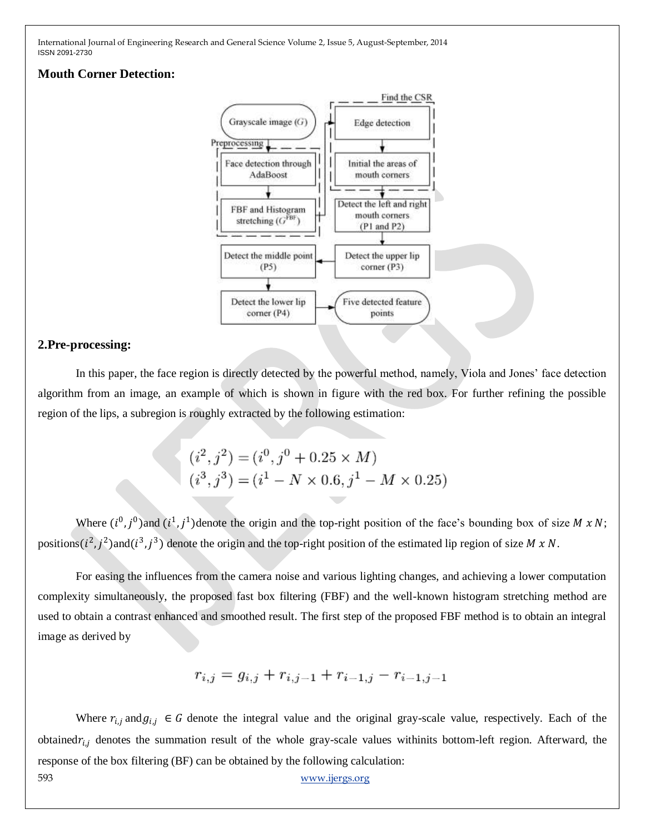## **Mouth Corner Detection:**



## **2.Pre-processing:**

In this paper, the face region is directly detected by the powerful method, namely, Viola and Jones' face detection algorithm from an image, an example of which is shown in figure with the red box. For further refining the possible region of the lips, a subregion is roughly extracted by the following estimation:

$$
(i2, j2) = (i0, j0 + 0.25 \times M)
$$
  

$$
(i3, j3) = (i1 - N \times 0.6, j1 - M \times 0.25)
$$

Where  $(i^0, j^0)$  and  $(i^1, j^1)$  denote the origin and the top-right position of the face's bounding box of size M x N; positions( $i^2$ ,  $j^2$ )and( $i^3$ ,  $j^3$ ) denote the origin and the top-right position of the estimated lip region of size M x N.

For easing the influences from the camera noise and various lighting changes, and achieving a lower computation complexity simultaneously, the proposed fast box filtering (FBF) and the well-known histogram stretching method are used to obtain a contrast enhanced and smoothed result. The first step of the proposed FBF method is to obtain an integral image as derived by

$$
r_{i,j} = g_{i,j} + r_{i,j-1} + r_{i-1,j} - r_{i-1,j-1}
$$

593 [www.ijergs.org](http://www.ijergs.org/) Where  $r_{i,j}$  and  $g_{i,j} \in G$  denote the integral value and the original gray-scale value, respectively. Each of the obtained $r_{i,i}$  denotes the summation result of the whole gray-scale values withinits bottom-left region. Afterward, the response of the box filtering (BF) can be obtained by the following calculation: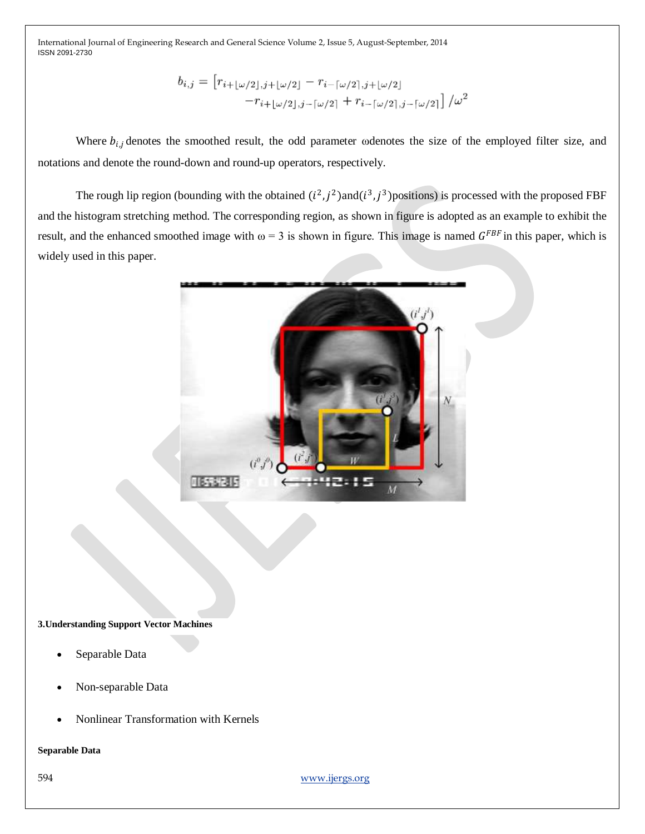$$
b_{i,j} = \left[ r_{i + \lfloor \omega/2 \rfloor, j + \lfloor \omega/2 \rfloor} - r_{i - \lceil \omega/2 \rceil, j + \lfloor \omega/2 \rfloor} - r_{i + \lfloor \omega/2 \rfloor, j - \lceil \omega/2 \rceil} + r_{i - \lceil \omega/2 \rceil, j - \lceil \omega/2 \rceil} \right] / \omega^2
$$

Where  $b_{i,j}$  denotes the smoothed result, the odd parameter wdenotes the size of the employed filter size, and notations and denote the round-down and round-up operators, respectively.

The rough lip region (bounding with the obtained  $(i^2, j^2)$  and  $(i^3, j^3)$  positions) is processed with the proposed FBF and the histogram stretching method. The corresponding region, as shown in figure is adopted as an example to exhibit the result, and the enhanced smoothed image with  $\omega = 3$  is shown in figure. This image is named  $G^{FBF}$  in this paper, which is widely used in this paper.



#### **3.Understanding Support Vector Machines**

- [Separable Data](http://www.mathworks.in/help/stats/support-vector-machines-svm.html#bsr5oqx)
- [Non-separable Data](http://www.mathworks.in/help/stats/support-vector-machines-svm.html#bsr5osl)
- [Nonlinear Transformation with Kernels](http://www.mathworks.in/help/stats/support-vector-machines-svm.html#bsr5ovw-1)

**Separable Data**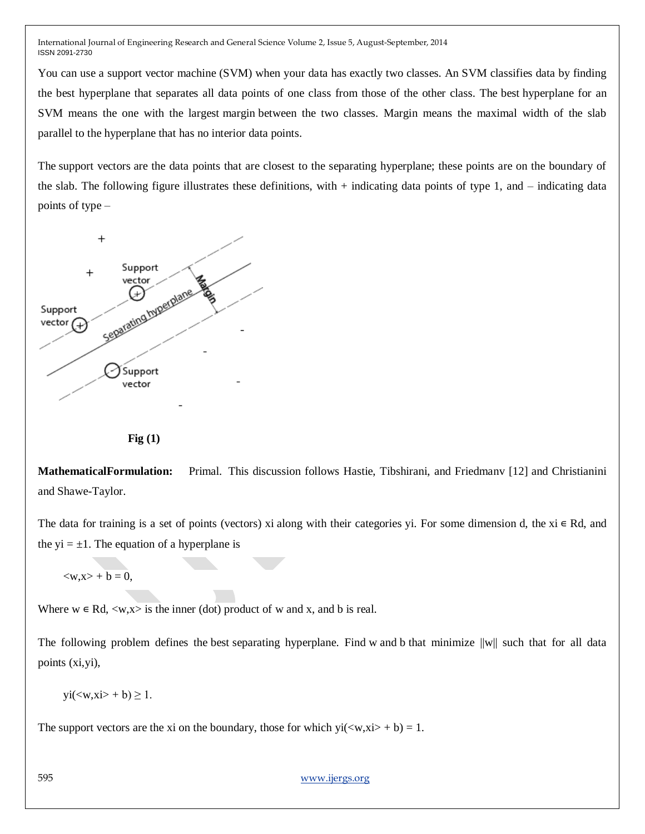You can use a support vector machine (SVM) when your data has exactly two classes. An SVM classifies data by finding the best hyperplane that separates all data points of one class from those of the other class. The best hyperplane for an SVM means the one with the largest margin between the two classes. Margin means the maximal width of the slab parallel to the hyperplane that has no interior data points.

The support vectors are the data points that are closest to the separating hyperplane; these points are on the boundary of the slab. The following figure illustrates these definitions, with  $+$  indicating data points of type 1, and  $-$  indicating data points of type –





**MathematicalFormulation:** Primal. This discussion follows Hastie, Tibshirani, and Friedmanv [12] and Christianini and Shawe-Taylor.

The data for training is a set of points (vectors) xi along with their categories yi. For some dimension d, the  $xi \in Rd$ , and the  $yi = \pm 1$ . The equation of a hyperplane is

 $\langle w.x \rangle + b = 0$ .

Where  $w \in Rd$ ,  $\langle w, x \rangle$  is the inner (dot) product of w and x, and b is real.

The following problem defines the best separating hyperplane. Find w and b that minimize  $\|w\|$  such that for all data points (xi,yi),

 $yi(\langle w, x i \rangle + b) \ge 1.$ 

The support vectors are the xi on the boundary, those for which  $yi(\langle w, x \rangle + b) = 1$ .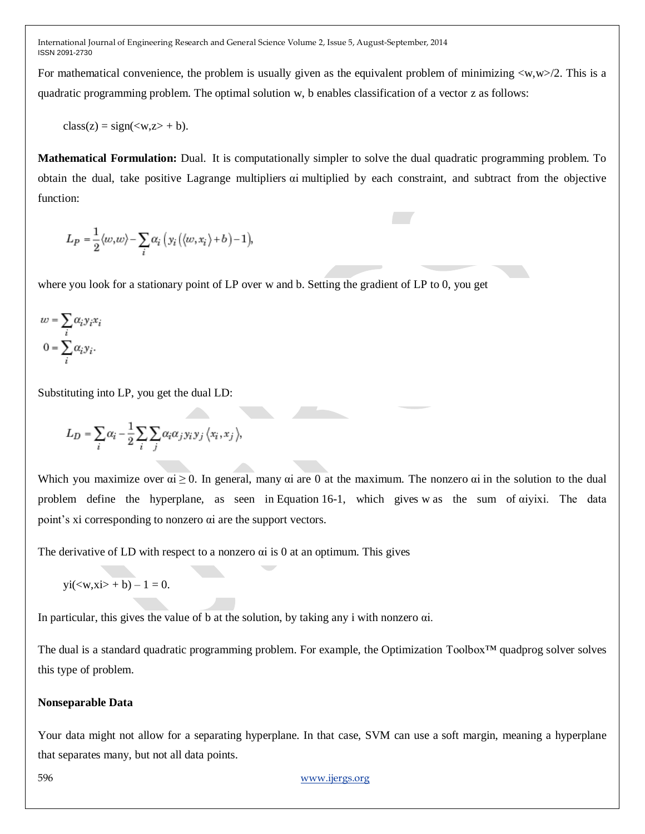For mathematical convenience, the problem is usually given as the equivalent problem of minimizing  $\langle w, w \rangle/2$ . This is a quadratic programming problem. The optimal solution w, b enables classification of a vector z as follows:

 $class(z) = sign( + b).$ 

**Mathematical Formulation:** Dual. It is computationally simpler to solve the dual quadratic programming problem. To obtain the dual, take positive Lagrange multipliers αi multiplied by each constraint, and subtract from the objective function:

$$
L_P = \frac{1}{2} \langle w, w \rangle - \sum_i \alpha_i \left( y_i \left( \langle w, x_i \rangle + b \right) - 1 \right),
$$

where you look for a stationary point of LP over w and b. Setting the gradient of LP to 0, you get

$$
w = \sum_i \alpha_i y_i x_i
$$

$$
0 = \sum_i \alpha_i y_i.
$$

Substituting into LP, you get the dual LD:

$$
L_D = \sum_i \alpha_i - \frac{1}{2} \sum_i \sum_j \alpha_i \alpha_j y_i y_j \langle x_i, x_j \rangle,
$$

Which you maximize over  $\alpha i \geq 0$ . In general, many  $\alpha i$  are 0 at the maximum. The nonzero  $\alpha i$  in the solution to the dual problem define the hyperplane, as seen in [Equation](http://www.mathworks.in/help/stats/support-vector-machines-svm.html#bsukwk_) 16-1, which gives w as the sum of αiyixi. The data point's xi corresponding to nonzero αi are the support vectors.

The derivative of LD with respect to a nonzero αi is 0 at an optimum. This gives

$$
yi(<\!\!w,xi\!\!>+b)-1=0.
$$

In particular, this gives the value of b at the solution, by taking any i with nonzero αi.

The dual is a standard quadratic programming problem. For example, the Optimization Toolbox™ quadprog solver solves this type of problem.

#### **Nonseparable Data**

Your data might not allow for a separating hyperplane. In that case, SVM can use a soft margin, meaning a hyperplane that separates many, but not all data points.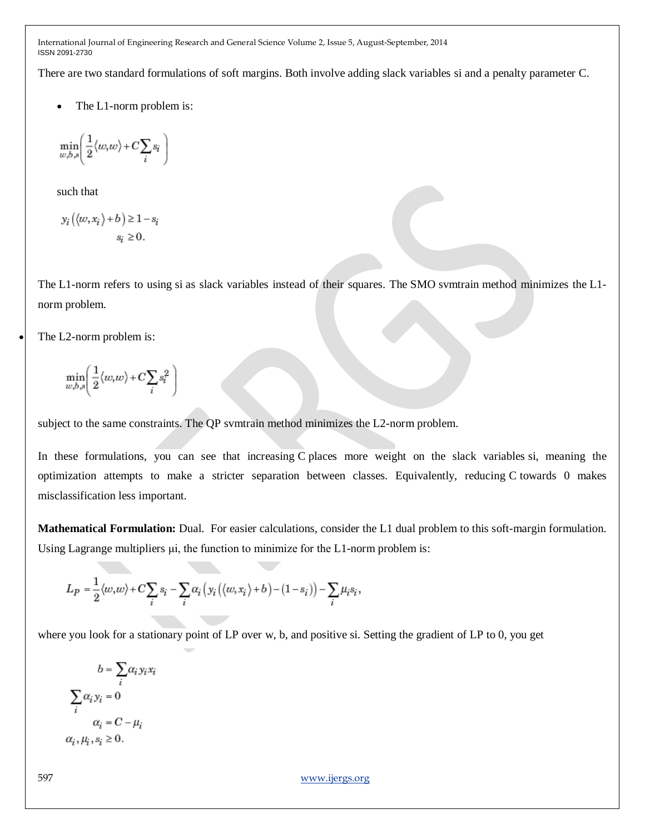There are two standard formulations of soft margins. Both involve adding slack variables si and a penalty parameter C.

The L1-norm problem is:

$$
\min_{w,b,s}\!\!\left(\frac{1}{2}\langle w,\!w\rangle\!+\!C\!\sum_i\!s_i\,\right)
$$

such that

$$
\begin{split} y_i\left(\left\langle w, x_i\right\rangle + b\right) &\geq 1-s_i\\ s_i &\geq 0. \end{split}
$$

The L1-norm refers to using si as slack variables instead of their squares. The SMO [svmtrain](http://www.mathworks.in/help/stats/svmtrain.html) method minimizes the L1 norm problem.

The L2-norm problem is:

$$
\min_{w,b,s} \left( \frac{1}{2} \langle w, w \rangle + C \sum_i s_i^2 \right)
$$

subject to the same constraints. The QP [svmtrain](http://www.mathworks.in/help/stats/svmtrain.html) method minimizes the L2-norm problem.

In these formulations, you can see that increasing C places more weight on the slack variables si, meaning the optimization attempts to make a stricter separation between classes. Equivalently, reducing C towards 0 makes misclassification less important.

**Mathematical Formulation:** Dual. For easier calculations, consider the L1 dual problem to this soft-margin formulation. Using Lagrange multipliers μi, the function to minimize for the L1-norm problem is:

$$
L_P=\frac{1}{2}\langle w, w\rangle + C\sum_i s_i - \sum_i \alpha_i \left( y_i \left( \langle w, x_i \rangle + b \right) - (1-s_i) \right) - \sum_i \mu_i s_i,
$$

where you look for a stationary point of LP over w, b, and positive si. Setting the gradient of LP to 0, you get

$$
b = \sum_{i} \alpha_i y_i
$$

$$
\sum_{i} \alpha_i y_i = 0
$$

$$
\alpha_i = C - \mu_i
$$

$$
\alpha_i, \mu_i, s_i \ge 0.
$$

 $x_i$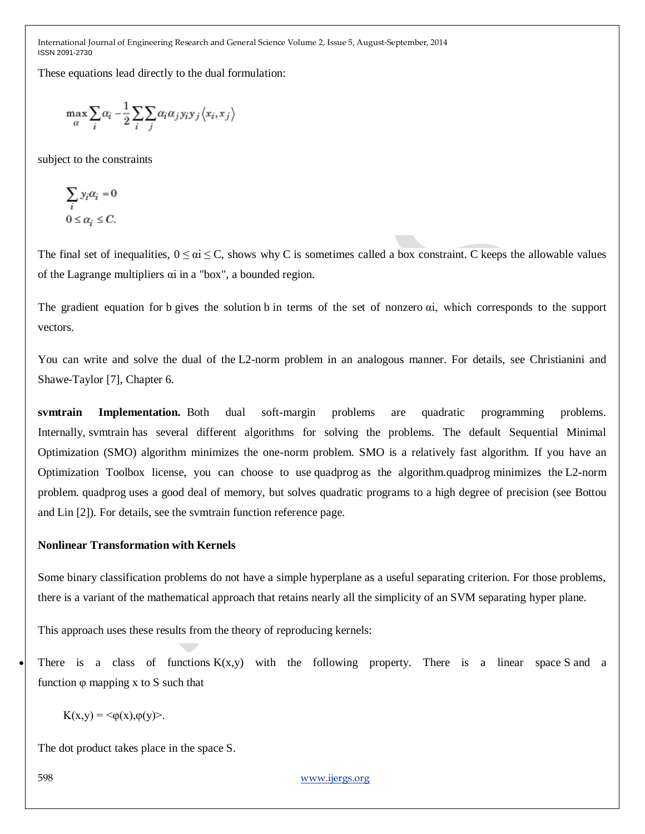These equations lead directly to the dual formulation:

$$
\max_{\alpha} \sum_{i} \alpha_i - \frac{1}{2} \sum_{i} \sum_{j} \alpha_i \alpha_j y_i y_j \langle x_i, x_j \rangle
$$

subject to the constraints

$$
\sum_i y_i \alpha_i = 0
$$
  

$$
0 \le \alpha_i \le C.
$$

The final set of inequalities,  $0 \le \alpha i \le C$ , shows why C is sometimes called a box constraint. C keeps the allowable values of the Lagrange multipliers αi in a "box", a bounded region.

The gradient equation for b gives the solution b in terms of the set of nonzero αi, which corresponds to the support vectors.

You can write and solve the dual of the L2-norm problem in an analogous manner. For details, see Christianini and Shawe-Taylor [7], Chapter 6.

**svmtrain Implementation.** Both dual soft-margin problems are quadratic programming problems. Internally, svmtrain has several different algorithms for solving the problems. The default Sequential Minimal Optimization (SMO) algorithm minimizes the one-norm problem. SMO is a relatively fast algorithm. If you have an Optimization Toolbox license, you can choose to use quadprog as the algorithm.quadprog minimizes the L2-norm problem. quadprog uses a good deal of memory, but solves quadratic programs to a high degree of precision (see Bottou and Lin [\[2\]\)](http://www.mathworks.in/help/stats/bibliography.html#bssema9). For details, see the [svmtrain](http://www.mathworks.in/help/stats/svmtrain.html) function reference page.

## **Nonlinear Transformation with Kernels**

Some binary classification problems do not have a simple hyperplane as a useful separating criterion. For those problems, there is a variant of the mathematical approach that retains nearly all the simplicity of an SVM separating hyper plane.

This approach uses these results from the theory of reproducing kernels:

There is a class of functions  $K(x,y)$  with the following property. There is a linear space S and a function  $\varphi$  mapping x to S such that

$$
K(x,y) = \langle \varphi(x), \varphi(y) \rangle.
$$

The dot product takes place in the space S.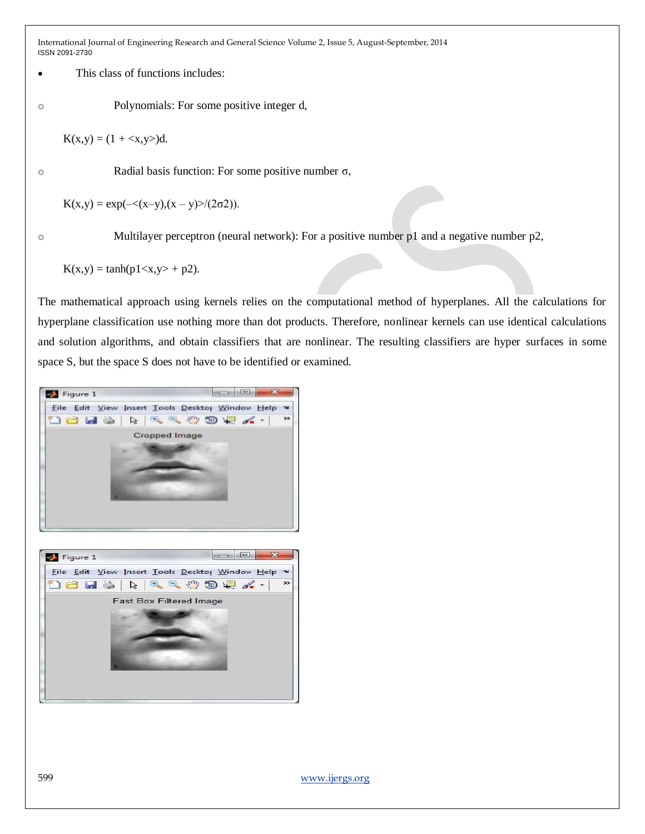This class of functions includes:

o Polynomials: For some positive integer d,

 $K(x,y) = (1 + \langle x, y \rangle)d.$ 

o Radial basis function: For some positive number σ,

 $K(x,y) = \exp(-\langle (x-y), (x-y) \rangle / (2\sigma^2)).$ 

o Multilayer perceptron (neural network): For a positive number p1 and a negative number p2,

 $K(x,y) = \tanh(p1 < x, y> + p2)$ .

The mathematical approach using kernels relies on the computational method of hyperplanes. All the calculations for hyperplane classification use nothing more than dot products. Therefore, nonlinear kernels can use identical calculations and solution algorithms, and obtain classifiers that are nonlinear. The resulting classifiers are hyper surfaces in some space S, but the space S does not have to be identified or examined.



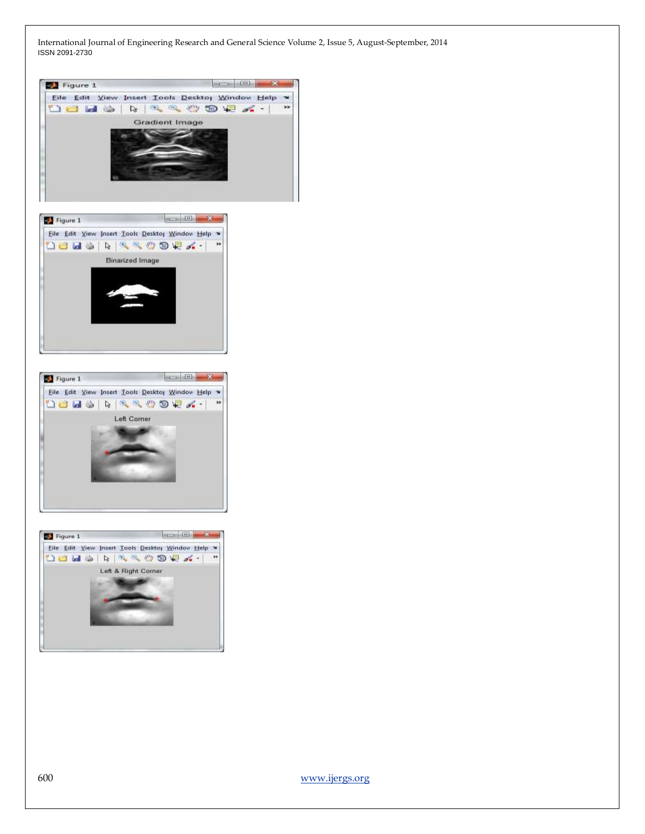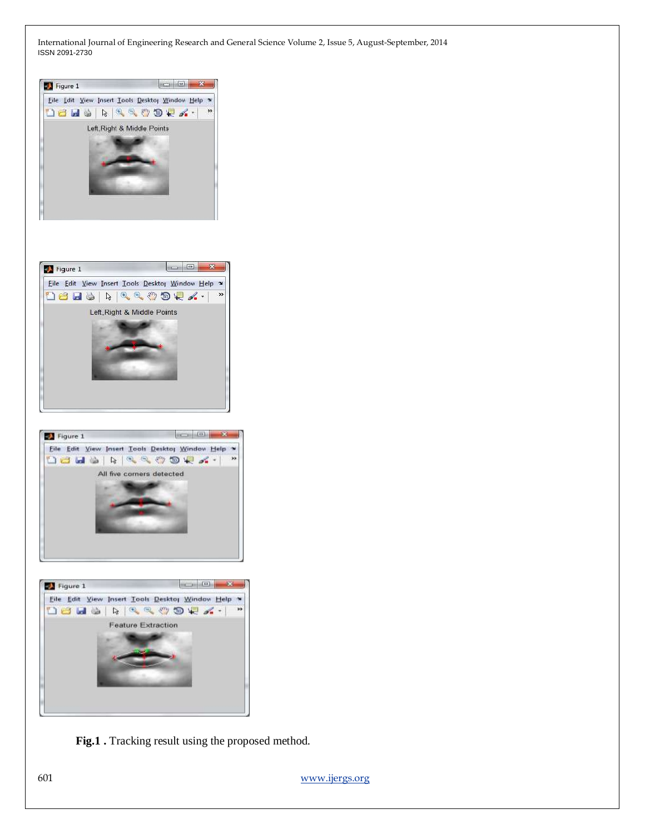